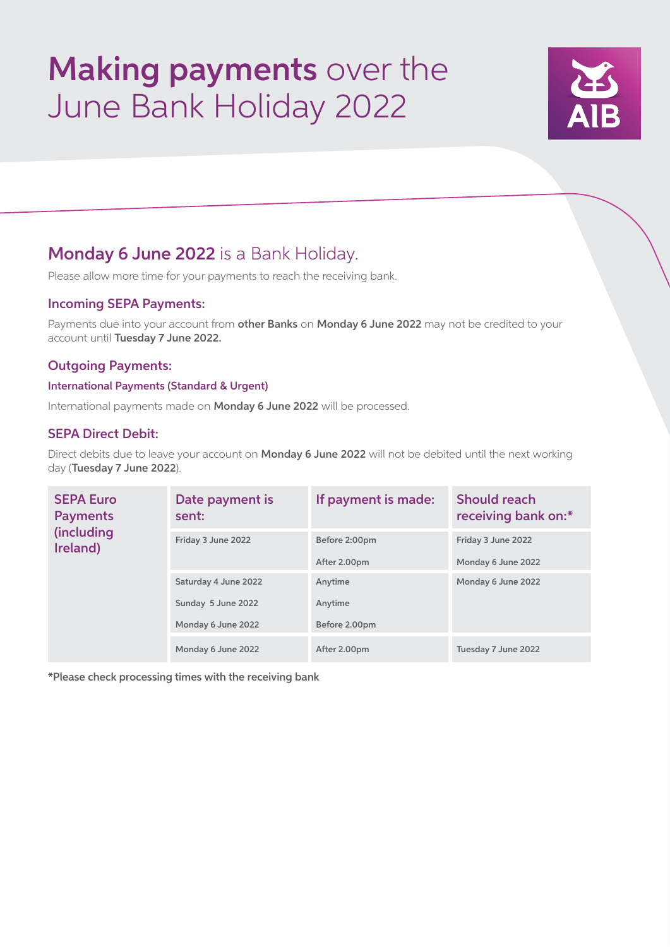# Making payments over the June Bank Holiday 2022



# Monday 6 June 2022 is a Bank Holiday.

Please allow more time for your payments to reach the receiving bank.

### Incoming SEPA Payments:

Payments due into your account from other Banks on Monday 6 June 2022 may not be credited to your account until Tuesday 7 June 2022.

### Outgoing Payments:

#### International Payments (Standard & Urgent)

International payments made on Monday 6 June 2022 will be processed.

## SEPA Direct Debit:

Direct debits due to leave your account on Monday 6 June 2022 will not be debited until the next working day (Tuesday 7 June 2022).

| <b>SEPA Euro</b><br><b>Payments</b><br><i>(including</i><br>Ireland) | Date payment is<br>sent: | If payment is made: | <b>Should reach</b><br>receiving bank on:* |
|----------------------------------------------------------------------|--------------------------|---------------------|--------------------------------------------|
|                                                                      | Friday 3 June 2022       | Before 2:00pm       | Friday 3 June 2022                         |
|                                                                      |                          | After 2.00pm        | Monday 6 June 2022                         |
|                                                                      | Saturday 4 June 2022     | Anytime             | Monday 6 June 2022                         |
|                                                                      | Sunday 5 June 2022       | Anytime             |                                            |
|                                                                      | Monday 6 June 2022       | Before 2.00pm       |                                            |
|                                                                      | Monday 6 June 2022       | After 2.00pm        | Tuesday 7 June 2022                        |

\*Please check processing times with the receiving bank